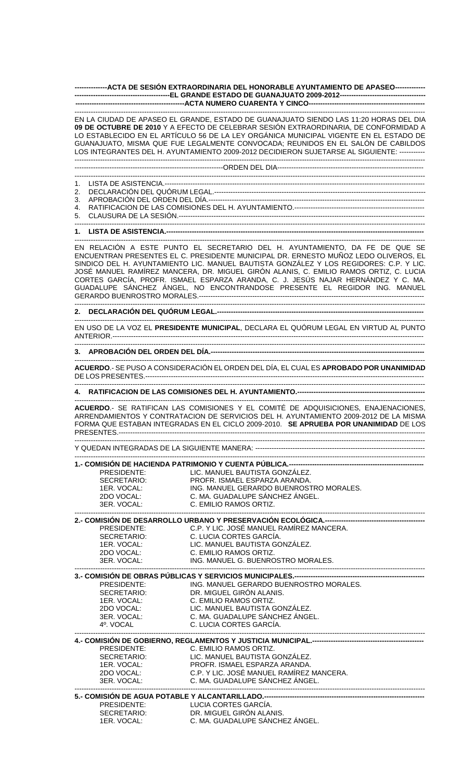**--------------ACTA DE SESIÓN EXTRAORDINARIA DEL HONORABLE AYUNTAMIENTO DE APASEO------------- -----------------------------------------EL GRANDE ESTADO DE GUANAJUATO 2009-2012------------------------------------- -----------------------------------------------ACTA NUMERO CUARENTA Y CINCO--------------------------------------------------**

------------------------------------------------------------------------------------------------------------------------------------------------------- EN LA CIUDAD DE APASEO EL GRANDE, ESTADO DE GUANAJUATO SIENDO LAS 11:20 HORAS DEL DIA **09 DE OCTUBRE DE 2010** Y A EFECTO DE CELEBRAR SESIÓN EXTRAORDINARIA, DE CONFORMIDAD A LO ESTABLECIDO EN EL ARTÍCULO 56 DE LA LEY ORGÁNICA MUNICIPAL VIGENTE EN EL ESTADO DE GUANAJUATO, MISMA QUE FUE LEGALMENTE CONVOCADA; REUNIDOS EN EL SALÓN DE CABILDOS LOS INTEGRANTES DEL H. AYUNTAMIENTO 2009-2012 DECIDIERON SUJETARSE AL SIGUIENTE: ----------- -------------------------------------------------------------------------------------------------------------------------------------------------------

----------------------------------------------------------------ORDEN DEL DIA--------------------------------------------------------------- ------------------------------------------------------------------------------------------------------------------------------------------------------- 1. LISTA DE ASISTENCIA.---------------------------------------------------------------------------------------------------------------- 2. DECLARACIÓN DEL QUÓRUM LEGAL.------------------------------------------------------------------------------------------- 3. APROBACIÓN DEL ORDEN DEL DÍA.--------------------------------------------------------------------------------------------- 4. RATIFICACION DE LAS COMISIONES DEL H. AYUNTAMIENTO.-------------------------------------------------------- 5. CLAUSURA DE LA SESIÓN.----------------------------------------------------------------------------------------------------------

------------------------------------------------------------------------------------------------------------------------------------------------------- 1. LISTA DE ASISTENCIA.----

------------------------------------------------------------------------------------------------------------------------------------------------------- EN RELACIÓN A ESTE PUNTO EL SECRETARIO DEL H. AYUNTAMIENTO, DA FE DE QUE SE ENCUENTRAN PRESENTES EL C. PRESIDENTE MUNICIPAL DR. ERNESTO MUÑOZ LEDO OLIVEROS, EL SINDICO DEL H. AYUNTAMIENTO LIC. MANUEL BAUTISTA GONZÁLEZ Y LOS REGIDORES: C.P. Y LIC. JOSÉ MANUEL RAMÍREZ MANCERA, DR. MIGUEL GIRÓN ALANIS, C. EMILIO RAMOS ORTIZ, C. LUCIA CORTES GARCÍA, PROFR. ISMAEL ESPARZA ARANDA, C. J. JESÚS NAJAR HERNÁNDEZ Y C. MA. GUADALUPE SÁNCHEZ ÁNGEL, NO ENCONTRANDOSE PRESENTE EL REGIDOR ING. MANUEL GERARDO BUENROSTRO MORALES.-------------------------------------------------------------------------------------------------

-------------------------------------------------------------------------------------------------------------------------------------------------------

**2. DECLARACIÓN DEL QUÓRUM LEGAL.-----------------------------------------------------------------------------------------**

EN USO DE LA VOZ EL **PRESIDENTE MUNICIPAL**, DECLARA EL QUÓRUM LEGAL EN VIRTUD AL PUNTO ANTERIOR.--------------------------------------------------------------------------------------------------------------------------------------

#### ------------------------------------------------------------------------------------------------------------------------------------------------------- **3. APROBACIÓN DEL ORDEN DEL DÍA.--------------------------------------------------------------------------------------------**

------------------------------------------------------------------------------------------------------------------------------------------------------- **ACUERDO**.- SE PUSO A CONSIDERACIÓN EL ORDEN DEL DÍA, EL CUAL ES **APROBADO POR UNANIMIDAD** DE LOS PRESENTES.------------------------------------------------------------------------------------------------------------------------

-------------------------------------------------------------------------------------------------------------------------------------------------------

## **4. RATIFICACION DE LAS COMISIONES DEL H. AYUNTAMIENTO.-------------------------------------------------------**

------------------------------------------------------------------------------------------------------------------------------------------------------- **ACUERDO**.- SE RATIFICAN LAS COMISIONES Y EL COMITÉ DE ADQUISICIONES, ENAJENACIONES, ARRENDAMIENTOS Y CONTRATACION DE SERVICIOS DEL H. AYUNTAMIENTO 2009-2012 DE LA MISMA FORMA QUE ESTABAN INTEGRADAS EN EL CICLO 2009-2010. **SE APRUEBA POR UNANIMIDAD** DE LOS PRESENTES.------------------------------------------------------------------------------------------------------------------------------------

------------------------------------------------------------------------------------------------------------------------------------------------------- Y QUEDAN INTEGRADAS DE LA SIGUIENTE MANERA: -------------------------------------------------------------------------

#### ------------------------------------------------------------------------------------------------------------------------------------------------------- **1. COMISIÓN DE HACIENDA PATRIMONIO Y CUENTA PÚBLICA**

|  | PRESIDENTE: | LIC. MANUEL BAUTISTA GONZÁLEZ.          |  |  |
|--|-------------|-----------------------------------------|--|--|
|  | SECRETARIO: | PROFR. ISMAEL ESPARZA ARANDA.           |  |  |
|  | 1FR. VOCAL: | ING. MANUEL GERARDO BUENROSTRO MORALES. |  |  |
|  | 2DO VOCAL:  | C. MA. GUADALUPE SÁNCHEZ ÁNGEL.         |  |  |
|  | 3ER VOCAL:  | C. EMILIO RAMOS ORTIZ.                  |  |  |
|  |             |                                         |  |  |

# **2.- COMISIÓN DE DESARROLLO URBANO Y PRESERVACIÓN ECOLÓGICA.-------------------------------------------**

| PRESIDENTE: | C.P. Y LIC. JOSE MANUEL RAMIREZ MANCERA. |
|-------------|------------------------------------------|
| SECRETARIO: | C. LUCIA CORTES GARCÍA.                  |
| 1ER. VOCAL: | LIC. MANUEL BAUTISTA GONZÁLEZ.           |
| 2DO VOCAL:  | C. EMILIO RAMOS ORTIZ.                   |
| 3ER. VOCAL: | ING. MANUEL G. BUENROSTRO MORALES.       |
|             |                                          |

**3.- COMISIÓN DE OBRAS PÚBLICAS Y SERVICIOS MUNICIPALES.-----**<br>ING. MANUEL GERARDO BUENRO ING. MANUEL GERARDO BUENROSTRO MORALES. SECRETARIO: DR. MIGUEL GIRÓN ALANIS.<br>1ER. VOCAL: C. EMILIO RAMOS ORTIZ.<br>2006 - ALITETA CON 1ER. VOCAL: C. EMILIO RAMOS ORTIZ.<br>2DO VOCAL: LIC. MANUEL BAUTISTA C<br>3ER. VOCAL: C. MA. GUADALUPE SÁN LIC. MANUEL BAUTISTA GONZÁLEZ. 3ER. VOCAL: C. MA. GUADALUPE SÁNCHEZ ÁNGEL.<br>4º. VOCAL C. LUCIA CORTES GARCÍA. C. LUCIA CORTES GARCÍA. -------------------------------------------------------------------------------------------------------------------------------------------------------

### **4.- COMISIÓN DE GOBIERNO, REGLAMENTOS Y JUSTICIA MUNICIPAL.------------------------------------------------**

| PRESIDENTE: | C. EMILIO RAMOS ORTIZ.                   |
|-------------|------------------------------------------|
| SECRETARIO: | LIC. MANUEL BAUTISTA GONZÁLEZ.           |
| 1ER VOCAL:  | PROFR ISMAEL ESPARZA ARANDA.             |
| 2DO VOCAL:  | C.P. Y LIC. JOSÉ MANUEL RAMIREZ MANCERA. |
| 3ER VOCAL:  | C. MA. GUADALUPE SÁNCHEZ ÁNGEL.          |
|             |                                          |

### **5.- COMISIÓN DE AGUA POTABLE Y ALCANTARILLADO.---------------------------------------------------------------------** PRESIDENTE: LUCIA CORTES GARCÍA.<br>SECRETARIO: DR. MIGUEL GIRÓN ALAN SECRETARIO: DR. MIGUEL GIRÓN ALANIS.<br>1ER. VOCAL: C. MA. GUADALUPE SÁNCHI C. MA. GUADALUPE SÁNCHEZ ÁNGEL.